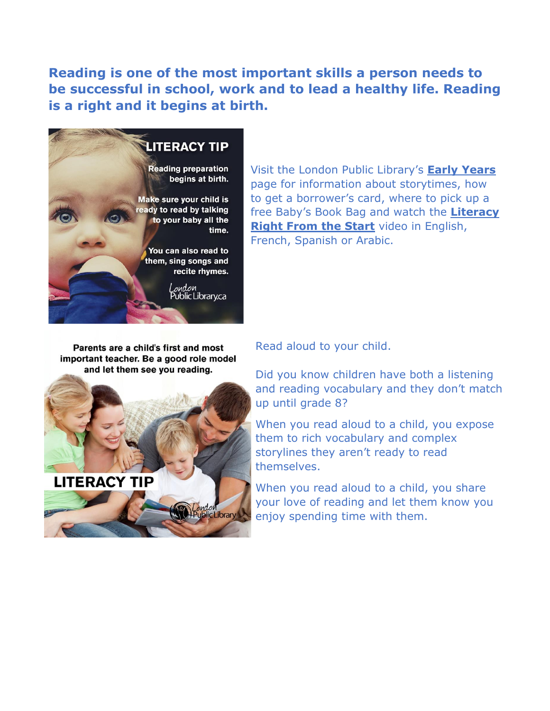**Reading is one of the most important skills a person needs to be successful in school, work and to lead a healthy life. Reading is a right and it begins at birth.**



Visit the London Public Library's **[Early Years](https://www.londonpubliclibrary.ca/kids/early-years)** page for information about storytimes, how to get a borrower's card, where to pick up a free Baby's Book Bag and watch the **[Literacy](https://video.link/w/n64cd)  [Right From the Start](https://video.link/w/n64cd)** video in English, French, Spanish or Arabic.

Parents are a child's first and most important teacher. Be a good role model and let them see you reading.

Read aloud to your child.

Did you know children have both a listening and reading vocabulary and they don't match up until grade 8?

When you read aloud to a child, you expose them to rich vocabulary and complex storylines they aren't ready to read themselves.

When you read aloud to a child, you share your love of reading and let them know you enjoy spending time with them.

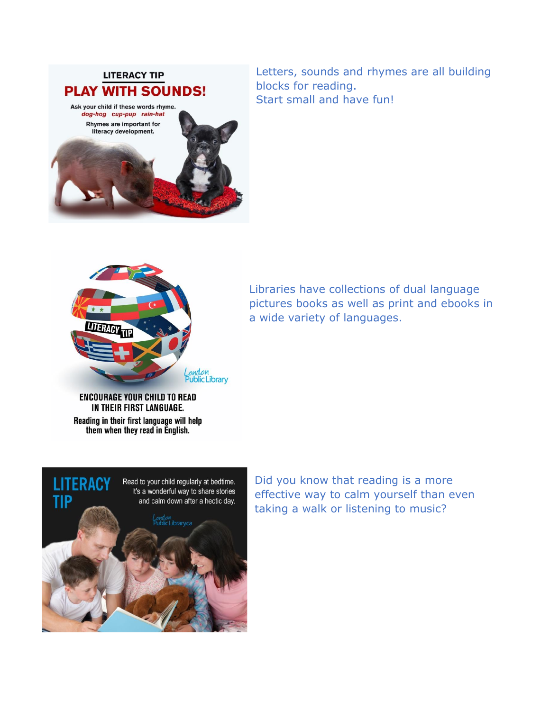

dog-hog cup-pup rain-hat Rhymes are important for literacy development.

Letters, sounds and rhymes are all building blocks for reading. Start small and have fun!



Libraries have collections of dual language pictures books as well as print and ebooks in a wide variety of languages.

**ENCOURAGE YOUR CHILD TO READ** IN THEIR FIRST LANGUAGE. Reading in their first language will help them when they read in English.



Did you know that reading is a more effective way to calm yourself than even taking a walk or listening to music?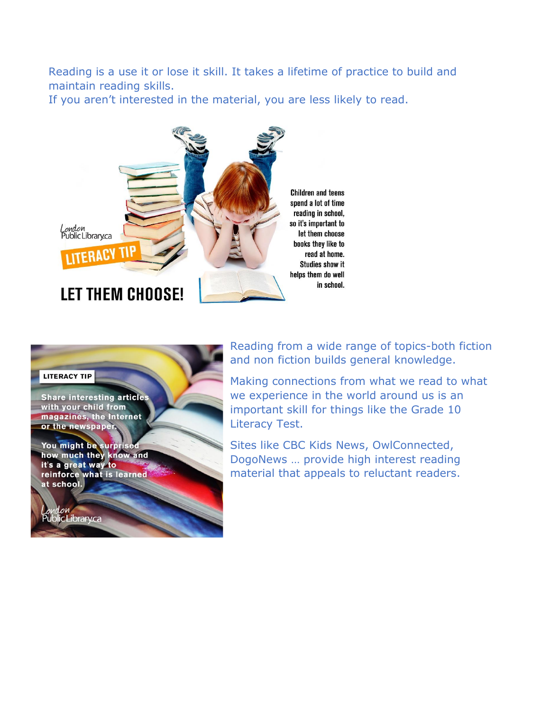Reading is a use it or lose it skill. It takes a lifetime of practice to build and maintain reading skills.

If you aren't interested in the material, you are less likely to read.





Reading from a wide range of topics-both fiction and non fiction builds general knowledge.

Making connections from what we read to what we experience in the world around us is an important skill for things like the Grade 10 Literacy Test.

Sites like CBC Kids News, OwlConnected, DogoNews … provide high interest reading material that appeals to reluctant readers.